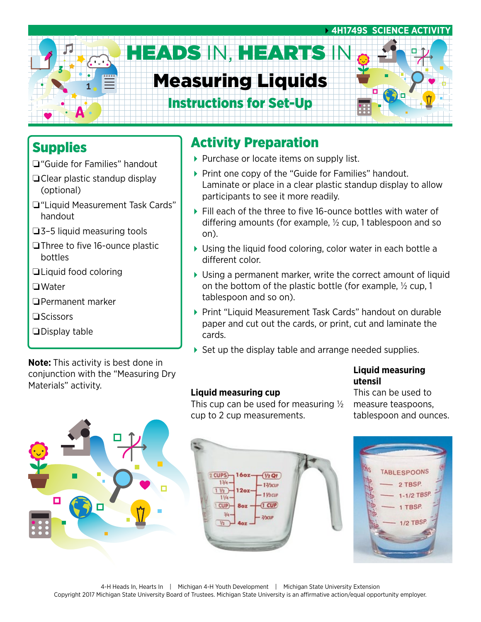

## Supplies

- ❏"Guide for Families" handout
- ❏Clear plastic standup display (optional)
- ❏"Liquid Measurement Task Cards" handout
- ❏3–5 liquid measuring tools
- ❏Three to five 16-ounce plastic bottles
- ❏Liquid food coloring
- ❏Water
- ❏Permanent marker
- ❏Scissors
- ❏Display table

**Note:** This activity is best done in conjunction with the "Measuring Dry Materials" activity.

# Activity Preparation

- Purchase or locate items on supply list.
- ▶ Print one copy of the "Guide for Families" handout. Laminate or place in a clear plastic standup display to allow participants to see it more readily.
- ▶ Fill each of the three to five 16-ounce bottles with water of differing amounts (for example, ½ cup, 1 tablespoon and so on).
- Using the liquid food coloring, color water in each bottle a different color.
- Using a permanent marker, write the correct amount of liquid on the bottom of the plastic bottle (for example, ½ cup, 1 tablespoon and so on).
- ▶ Print "Liquid Measurement Task Cards" handout on durable paper and cut out the cards, or print, cut and laminate the cards.
- ▶ Set up the display table and arrange needed supplies.

#### **Liquid measuring utensil**

#### **Liquid measuring cup**

This cup can be used for measuring  $\frac{1}{2}$ cup to 2 cup measurements.

This can be used to measure teaspoons, tablespoon and ounces.



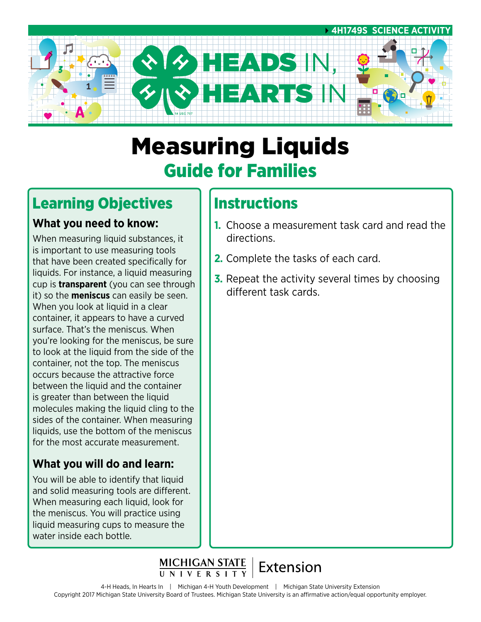

# Measuring Liquids Guide for Families

# Learning Objectives

### **What you need to know:**

When measuring liquid substances, it is important to use measuring tools that have been created specifically for liquids. For instance, a liquid measuring cup is **transparent** (you can see through it) so the **meniscus** can easily be seen. When you look at liquid in a clear container, it appears to have a curved surface. That's the meniscus. When you're looking for the meniscus, be sure to look at the liquid from the side of the container, not the top. The meniscus occurs because the attractive force between the liquid and the container is greater than between the liquid molecules making the liquid cling to the sides of the container. When measuring liquids, use the bottom of the meniscus for the most accurate measurement.

### **What you will do and learn:**

You will be able to identify that liquid and solid measuring tools are different. When measuring each liquid, look for the meniscus. You will practice using liquid measuring cups to measure the water inside each bottle.

# **Instructions**

- **1.** Choose a measurement task card and read the directions.
- **2.** Complete the tasks of each card.
- **3.** Repeat the activity several times by choosing different task cards.

MICHIGAN STATE | Extension